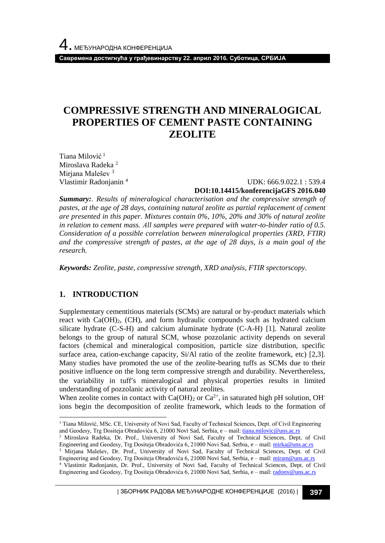**Савремена достигнућа у грађевинарству 22. април 2016. Суботица, СРБИЈА**

# **COMPRESSIVE STRENGTH AND MINERALOGICAL PROPERTIES OF CEMENT PASTE CONTAINING ZEOLITE**

Tiana Milović 1 Miroslava Radeka <sup>2</sup> Miriana Malešev<sup>3</sup> Vlastimir Radonjanin <sup>4</sup>

#### UDK: 666.9.022.1 : 539.4 **DOI:10.14415/konferencijaGFS 2016.040**

*Summary:. Results of mineralogical characterisation and the compressive strength of pastes, at the age of 28 days, containing natural zeolite as partial replacement of cement are presented in this paper. Mixtures contain 0%, 10%, 20% and 30% of natural zeolite in relation to cement mass. Аll samples were prepared with water-to-binder ratio of 0.5. Consideration of a possible correlation between mineralogical properties (XRD, FTIR) and the compressive strength of pastes, at the age of 28 days, is a main goal of the research.*

*Keywords: Zeolite, paste, compressive strength, XRD analysis, FTIR spectorscopy.*

## **1. INTRODUCTION**

l

Supplementary cementitious materials (SCMs) are natural or by-product materials which react with  $Ca(OH)_2$ , (CH), and form hydraulic compounds such as hydrated calcium silicate hydrate (C-S-H) and calcium aluminate hydrate (C-A-H) [1]. Natural zeolite belongs to the group of natural SCM, whose pozzolanic activity depends on several factors (chemical and mineralogical composition, particle size distribution, specific surface area, cation-exchange capacity, Si/Al ratio of the zeolite framework, etc) [2,3]. Many studies have promoted the use of the zeolite-bearing tuffs as SCMs due to their positive influence on the long term compressive strength and durability. Neverthereless, the variability in tuffs mineralogical and physical properties results in limited understanding of pozzolanic activity of natural zeolites.

When zeolite comes in contact with Ca(OH)<sub>2</sub> or Ca<sup>2+</sup>, in saturated high pH solution, OH<sup>-</sup> ions begin the decomposition of zeolite framework, which leads to the formation of

- <sup>2</sup> Miroslava Radeka, Dr. Prof., University of Novi Sad, Faculty of Technical Sciences, Dept. of Civil Engineering and Geodesy, Trg Dositeja Obradovića 6, 21000 Novi Sad, Serbia, e – mail[: mirka@uns.ac.rs](mailto:mirka@uns.ac.rs)
- <sup>3</sup> Mirjana Malešev, Dr. Prof., University of Novi Sad, Faculty of Technical Sciences, Dept. of Civil Engineering and Geodesy, Trg Dositeja Obradovića 6, 21000 Novi Sad, Serbia, e - mail[: miram@uns.ac.rs](mailto:miram@uns.ac.rs)
- <sup>4</sup> Vlastimir Radonjanin, Dr. Prof., University of Novi Sad, Faculty of Technical Sciences, Dept. of Civil Engineering and Geodesy, Trg Dositeja Obradovića 6, 21000 Novi Sad, Serbia, e – mail[: radonv@uns.ac.rs](mailto:radonv@uns.ac.rs)

| ЗБОРНИК РАДОВА МЕЂУНАРОДНЕ КОНФЕРЕНЦИЈЕ (2016) | **397**

<sup>&</sup>lt;sup>1</sup> Tiana Milović, MSc. CE, University of Novi Sad, Faculty of Technical Sciences, Dept. of Civil Engineering and Geodesy, Trg Dositeja Obradovića 6, 21000 Novi Sad, Serbia, e – mail[: tiana.milovic@uns.ac.rs](mailto:tiana.milovic@uns.ac.rs)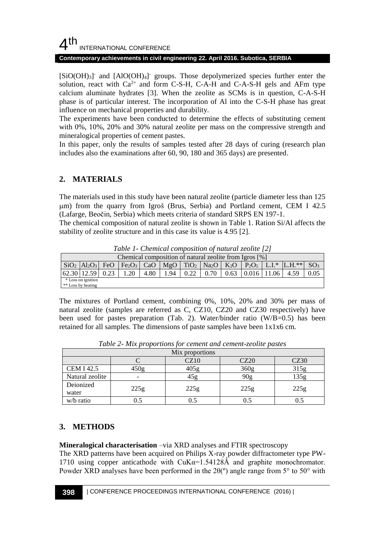## $4<sup>th</sup>$ INTERNATIONAL CONFERENCE

#### **Contemporary achievements in civil engineering 22. April 2016. Subotica, SERBIA**

[SiO(OH)<sub>3</sub>] and [AlO(OH)<sub>4</sub>] groups. Those depolymerized species further enter the solution, react with  $Ca^{2+}$  and form C-S-H, C-A-H and C-A-S-H gels and AFm type calcium aluminate hydrates [3]. When the zeolite as SCMs is in question, C-A-S-H phase is of particular interest. The incorporation of Al into the C-S-H phase has great influence on mechanical properties and durability.

The experiments have been conducted to determine the effects of substituting cement with 0%, 10%, 20% and 30% natural zeolite per mass on the compressive strength and mineralogical properties of cement pastes.

In this paper, only the results of samples tested after 28 days of curing (research plan includes also the examinations after 60, 90, 180 and 365 days) are presented.

## **2. MATERIALS**

The materials used in this study have been natural zeolite (particle diameter less than 125 m) from the quarry from Igroš (Brus, Serbia) and Portland cement, CEM I 42.5 (Lafarge, Beočin, Serbia) which meets criteria of standard SRPS EN 197-1.

The chemical composition of natural zeolite is shown in Table 1. Ration Si/Al affects the stability of zeolite structure and in this case its value is 4.95 [2].

| Chemical composition of natural zeolite from Igros [%] |             |      |     |      |      |      |      |      |                 |  |                                                                                                                                                    |                 |
|--------------------------------------------------------|-------------|------|-----|------|------|------|------|------|-----------------|--|----------------------------------------------------------------------------------------------------------------------------------------------------|-----------------|
|                                                        |             |      |     |      |      |      |      |      |                 |  | $\rm SiO_2$ $\rm Al_2O_3$ FeO $\rm Fe_2O_3$ CaO $\rm MgO$ TiO <sub>2</sub> Na <sub>2</sub> O $\rm K_2O$ P <sub>2</sub> O <sub>5</sub> L.I.* L.H.** | SO <sub>3</sub> |
|                                                        | 62.30 12.59 | 0.23 | .20 | 4.80 | 1.94 | 0.22 | 0.70 | 0.63 | $0.016$   11.06 |  | 4.59                                                                                                                                               |                 |
| * Loss on ignition                                     |             |      |     |      |      |      |      |      |                 |  |                                                                                                                                                    |                 |
| ** Loss by heating                                     |             |      |     |      |      |      |      |      |                 |  |                                                                                                                                                    |                 |

*Table 1- Chemical composition of natural zeolite [2]*

The mixtures of Portland cement, combining 0%, 10%, 20% and 30% per mass of natural zeolite (samples are referred as C, CZ10, CZ20 and CZ30 respectively) have been used for pastes preparation (Tab. 2). Water/binder ratio (W/B=0.5) has been retained for all samples. The dimensions of paste samples have been 1x1x6 cm.

| Mix proportions    |      |      |                  |      |  |  |  |
|--------------------|------|------|------------------|------|--|--|--|
|                    |      | CZ10 | CZ20             | CZ30 |  |  |  |
| <b>CEM I 42.5</b>  | 450g | 405g | 360 <sub>g</sub> | 315g |  |  |  |
| Natural zeolite    |      | 45g  | 90g              | 135g |  |  |  |
| Deionized<br>water | 225g | 225g | 225g             | 225g |  |  |  |
| w/b ratio          |      |      |                  |      |  |  |  |

*Table 2- Mix proportions for cement and cement-zeolite pastes*

## **3. METHODS**

**Mineralogical characterisation** –via XRD analyses and FTIR spectroscopy

The XRD patterns have been acquired on Philips X-ray powder diffractometer type PW-1710 using copper anticathode with  $CuKa=1.54128\text{\AA}$  and graphite monochromator. Powder XRD analyses have been performed in the  $2\theta$ <sup>(o</sup>) angle range from 5<sup>o</sup> to 50<sup>o</sup> with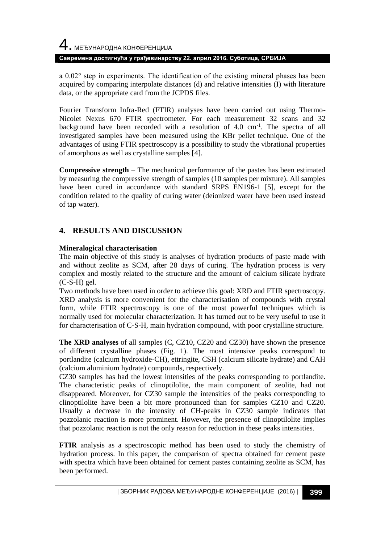# 4. МЕЂУНАРОДНА КОНФЕРЕНЦИЈА **Савремена достигнућа у грађевинарству 22. април 2016. Суботица, СРБИЈА**

a 0.02° step in experiments. The identification of the existing mineral phases has been acquired by comparing interpolate distances (d) and relative intensities (I) with literature data, or the appropriate card from the JCPDS files.

Fourier Transform Infra-Red (FTIR) analyses have been carried out using Thermo-Nicolet Nexus 670 FTIR spectrometer. For each measurement 32 scans and 32 background have been recorded with a resolution of 4.0 cm<sup>-1</sup>. The spectra of all investigated samples have been measured using the KBr pellet technique. One of the advantages of using FTIR spectroscopy is a possibility to study the vibrational properties of amorphous as well as crystalline samples [4].

**Compressive strength** – The mechanical performance of the pastes has been estimated by measuring the compressive strength of samples (10 samples per mixture). All samples have been cured in accordance with standard SRPS EN196-1 [5], except for the condition related to the quality of curing water (deionized water have been used instead of tap water).

## **4. RESULTS AND DISCUSSION**

### **Mineralogical characterisation**

The main objective of this study is analyses of hydration products of paste made with and without zeolite as SCM, after 28 days of curing. The hydration process is very complex and mostly related to the structure and the amount of calcium silicate hydrate  $(C-S-H)$  gel.

Two methods have been used in order to achieve this goal: XRD and FTIR spectroscopy. XRD analysis is more convenient for the characterisation of compounds with crystal form, while FTIR spectroscopy is one of the most powerful techniques which is normally used for molecular characterization. It has turned out to be very useful to use it for characterisation of C-S-H, main hydration compound, with poor crystalline structure.

**The XRD analyses** of all samples (C, CZ10, CZ20 and CZ30) have shown the presence of different crystalline phases (Fig. 1). The most intensive peaks correspond to portlandite (calcium hydroxide-CH), ettringite, CSH (calcium silicate hydrate) and CAH (calcium aluminium hydrate) compounds, respectively.

CZ30 samples has had the lowest intensities of the peaks corresponding to portlandite. The characteristic peaks of clinoptilolite, the main component of zeolite, had not disappeared. Moreover, for CZ30 sample the intensities of the peaks corresponding to clinoptilolite have been a bit more pronounced than for samples CZ10 and CZ20. Usually a decrease in the intensity of CH-peaks in CZ30 sample indicates that pozzolanic reaction is more prominent. However, the presence of clinoptilolite implies that pozzolanic reaction is not the only reason for reduction in these peaks intensities.

**FTIR** analysis as a spectroscopic method has been used to study the chemistry of hydration process. In this paper, the comparison of spectra obtained for cement paste with spectra which have been obtained for cement pastes containing zeolite as SCM, has been performed.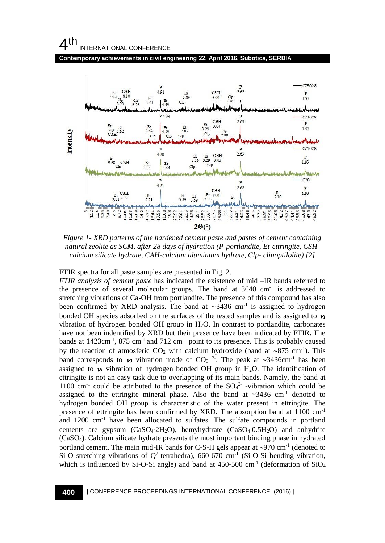## $4<sup>th</sup>$ INTERNATIONAL CONFERENCE

**Contemporary achievements in civil engineering 22. April 2016. Subotica, SERBIA**



*Figure 1- XRD patterns of the hardened cement paste and pastes of cement containing natural zeolite as SCM, after 28 days of hydration (P-portlandite, Et-ettringite, CSHcalcium silicate hydrate, CAH-calcium aluminium hydrate, Clp- clinoptilolite) [2]*

FTIR spectra for all paste samples are presented in Fig. 2.

*FTIR analysis of cement paste* has indicated the existence of mid –IR bands referred to the presence of several molecular groups. The band at 3640 cm<sup>-1</sup> is addressed to stretching vibrations of Ca-OH from portlandite. The presence of this compound has also been confirmed by XRD analysis. The band at  $\sim$ 3436 cm<sup>-1</sup> is assigned to hydrogen bonded OH species adsorbed on the surfaces of the tested samples and is assigned to  $\nu_1$ vibration of hydrogen bonded OH group in  $H_2O$ . In contrast to portlandite, carbonates have not been indentified by XRD but their presence have been indicated by FTIR. The bands at 1423cm<sup>-1</sup>, 875 cm<sup>-1</sup> and 712 cm<sup>-1</sup> point to its presence. This is probably caused by the reaction of atmosferic  $CO_2$  with calcium hydroxide (band at ~875 cm<sup>-1</sup>). This band corresponds to  $\boldsymbol{\nu}$  vibration mode of CO<sub>3</sub><sup>2</sup>. The peak at ~3436cm<sup>-1</sup> has been assigned to  $\nu_1$  vibration of hydrogen bonded OH group in H<sub>2</sub>O. The identification of ettringite is not an easy task due to overlapping of its main bands. Namely, the band at 1100 cm<sup>-1</sup> could be attributed to the presence of the  $SO_4^2$ -vibration which could be assigned to the ettringite mineral phase. Also the band at  $\sim$ 3436 cm<sup>-1</sup> denoted to hydrogen bonded OH group is characteristic of the water present in ettringite. The presence of ettringite has been confirmed by XRD. The absorption band at 1100 cm-1 and 1200 cm-1 have been allocated to sulfates. The sulfate compounds in portland cements are gypsum  $(CaSO_4·2H_2O)$ , hemyhydtrate  $(CaSO_4·0.5H_2O)$  and anhydrite (CaSO4). Calcium silicate hydrate presents the most important binding phase in hydrated portland cement. The main mid-IR bands for C-S-H gels appear at  $\sim$ 970 cm<sup>-1</sup> (denoted to Si-O stretching vibrations of  $Q^2$  tetrahedra), 660-670 cm<sup>-1</sup> (Si-O-Si bending vibration, which is influenced by Si-O-Si angle) and band at 450-500 cm<sup>-1</sup> (deformation of SiO<sub>4</sub>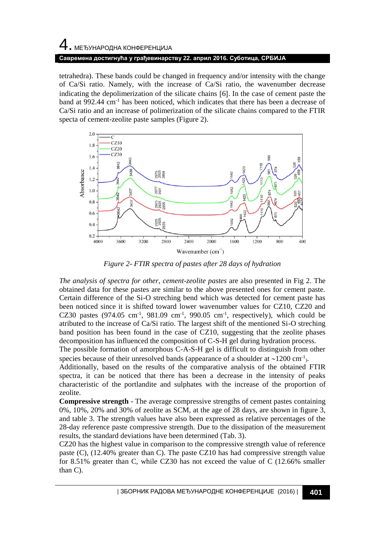# 4. МЕЂУНАРОДНА КОНФЕРЕНЦИЈА **Савремена достигнућа у грађевинарству 22. април 2016. Суботица, СРБИЈА**

tetrahedra). These bands could be changed in frequency and/or intensity with the change of Ca/Si ratio. Namely, with the increase of Ca/Si ratio, the wavenumber decrease indicating the depolimerization of the silicate chains  $[6]$ . In the case of cement paste the band at 992.44 cm-1 has been noticed, which indicates that there has been a decrease of Ca/Si ratio and an increase of polimerization of the silicate chains compared to the FTIR specta of cement-zeolite paste samples (Figure 2).



*Figure 2- FTIR spectra of pastes after 28 days of hydration*

*The analysis of spectra for other, cement-zeolite pastes* are also presented in Fig 2. The obtained data for these pastes are similar to the above presented ones for cement paste. Certain difference of the Si-O streching bend which was detected for cement paste has been noticed since it is shifted toward lower wavenumber values for CZ10, CZ20 and CZ30 pastes  $(974.05 \text{ cm}^{-1}, 981.09 \text{ cm}^{-1}, 990.05 \text{ cm}^{-1}, \text{ respectively})$ , which could be atributed to the increase of Ca/Si ratio. The largest shift of the mentioned Si-O streching band position has been found in the case of CZ10, suggesting that the zeolite phases decomposition has influenced the composition of C-S-H gel during hydration process.

The possible formation of amorphous C-A-S-H gel is difficult to distinguish from other species because of their unresolved bands (appearance of a shoulder at  $\sim$ 1200 cm<sup>-1</sup>).

Additionally, based on the results of the comparative analysis of the obtained FTIR spectra, it can be noticed that there has been a decrease in the intensity of peaks characteristic of the portlandite and sulphates with the increase of the proportion of zeolite.

**Compressive strength** - The average compressive strengths of cement pastes containing 0%, 10%, 20% and 30% of zeolite as SCM, at the age of 28 days, are shown in figure 3, and table 3. The strength values have also been expressed as relative percentages of the 28-day reference paste compressive strength. Due to the dissipation of the measurement results, the standard deviations have been determined (Tab. 3).

CZ20 has the highest value in comparison to the compressive strength value of reference paste (C), (12.40% greater than C). The paste CZ10 has had compressive strength value for 8.51% greater than C, while CZ30 has not exceed the value of C (12.66% smaller than C).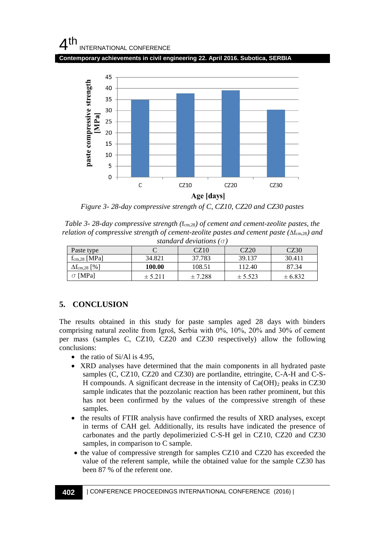## $4<sup>th</sup>$ INTERNATIONAL CONFERENCE

**Contemporary achievements in civil engineering 22. April 2016. Subotica, SERBIA**



*Figure 3- 28-day compressive strength of C, CZ10, CZ20 and CZ30 pastes*

*Table 3-28-day compressive strength* ( $f_{cm,28}$ ) *of cement and cement-zeolite pastes, the relation of compressive strength of cement-zeolite pastes and cement paste (* $\Delta f_{cm,28}$ *) and standard deviations (*σ*)*

| Paste type                 |             | CZ10    | CZ20        | CZ30        |  |  |  |  |
|----------------------------|-------------|---------|-------------|-------------|--|--|--|--|
| $f_{cm,28}$ [MPa]          | 34.821      | 37.783  | 39.137      | 30.411      |  |  |  |  |
| $\Delta f_{\rm cm,28}$ [%] | 100.00      | 108.51  | 112.40      | 87.34       |  |  |  |  |
| $\sigma$ [MPa]             | $\pm$ 5.211 | ± 7.288 | $\pm$ 5.523 | $\pm 6.832$ |  |  |  |  |

## **5. CONCLUSION**

The results obtained in this study for paste samples aged 28 days with binders comprising natural zeolite from Igroš, Serbia with 0%, 10%, 20% and 30% of cement per mass (samples C, CZ10, CZ20 and CZ30 respectively) allow the following conclusions:

- $\bullet$  the ratio of Si/Al is 4.95,
- XRD analyses have determined that the main components in all hydrated paste samples (C, CZ10, CZ20 and CZ30) are portlandite, ettringite, C-A-H and C-S-H compounds. A significant decrease in the intensity of  $Ca(OH)_2$  peaks in CZ30 sample indicates that the pozzolanic reaction has been rather prominent, but this has not been confirmed by the values of the compressive strength of these samples.
- the results of FTIR analysis have confirmed the results of XRD analyses, except in terms of CAH gel. Additionally, its results have indicated the presence of carbonates and the partly depolimerizied C-S-H gel in CZ10, CZ20 and CZ30 samples, in comparison to C sample.
- the value of compressive strength for samples CZ10 and CZ20 has exceeded the value of the referent sample, while the obtained value for the sample CZ30 has been 87 % of the referent one.